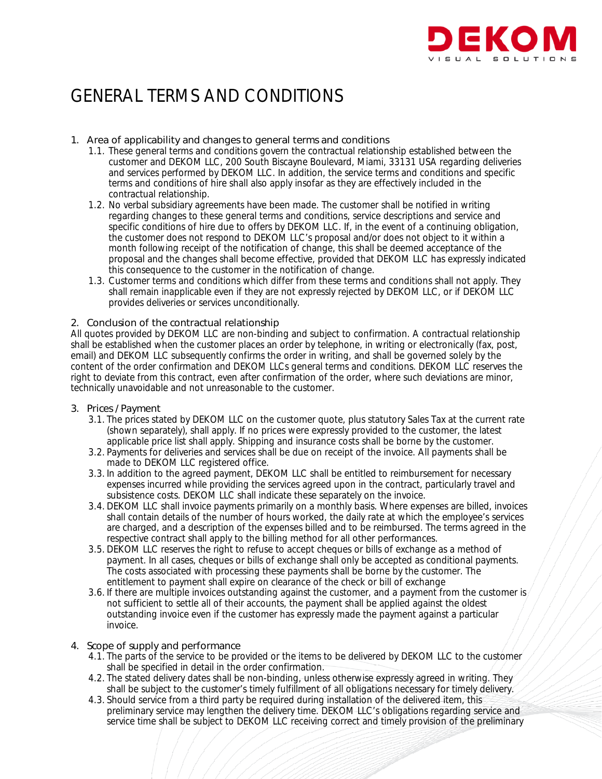

# GENERAL TERMS AND CONDITIONS

# 1. Area of applicability and changes to general terms and conditions

- 1.1. These general terms and conditions govern the contractual relationship established between the customer and DEKOM LLC, 200 South Biscayne Boulevard, Miami, 33131 USA regarding deliveries and services performed by DEKOM LLC. In addition, the service terms and conditions and specific terms and conditions of hire shall also apply insofar as they are effectively included in the contractual relationship.
- 1.2. No verbal subsidiary agreements have been made. The customer shall be notified in writing regarding changes to these general terms and conditions, service descriptions and service and specific conditions of hire due to offers by DEKOM LLC. If, in the event of a continuing obligation, the customer does not respond to DEKOM LLC's proposal and/or does not object to it within a month following receipt of the notification of change, this shall be deemed acceptance of the proposal and the changes shall become effective, provided that DEKOM LLC has expressly indicated this consequence to the customer in the notification of change.
- 1.3. Customer terms and conditions which differ from these terms and conditions shall not apply. They shall remain inapplicable even if they are not expressly rejected by DEKOM LLC, or if DEKOM LLC provides deliveries or services unconditionally.

# 2. Conclusion of the contractual relationship

All quotes provided by DEKOM LLC are non-binding and subject to confirmation. A contractual relationship shall be established when the customer places an order by telephone, in writing or electronically (fax, post, email) and DEKOM LLC subsequently confirms the order in writing, and shall be governed solely by the content of the order confirmation and DEKOM LLCs general terms and conditions. DEKOM LLC reserves the right to deviate from this contract, even after confirmation of the order, where such deviations are minor, technically unavoidable and not unreasonable to the customer.

# 3. Prices / Payment

- 3.1. The prices stated by DEKOM LLC on the customer quote, plus statutory Sales Tax at the current rate (shown separately), shall apply. If no prices were expressly provided to the customer, the latest applicable price list shall apply. Shipping and insurance costs shall be borne by the customer.
- 3.2. Payments for deliveries and services shall be due on receipt of the invoice. All payments shall be made to DEKOM LLC registered office.
- 3.3. In addition to the agreed payment, DEKOM LLC shall be entitled to reimbursement for necessary expenses incurred while providing the services agreed upon in the contract, particularly travel and subsistence costs. DEKOM LLC shall indicate these separately on the invoice.
- 3.4. DEKOM LLC shall invoice payments primarily on a monthly basis. Where expenses are billed, invoices shall contain details of the number of hours worked, the daily rate at which the employee's services are charged, and a description of the expenses billed and to be reimbursed. The terms agreed in the respective contract shall apply to the billing method for all other performances.
- 3.5. DEKOM LLC reserves the right to refuse to accept cheques or bills of exchange as a method of payment. In all cases, cheques or bills of exchange shall only be accepted as conditional payments. The costs associated with processing these payments shall be borne by the customer. The entitlement to payment shall expire on clearance of the check or bill of exchange
- 3.6. If there are multiple invoices outstanding against the customer, and a payment from the customer is not sufficient to settle all of their accounts, the payment shall be applied against the oldest outstanding invoice even if the customer has expressly made the payment against a particular invoice.

# 4. Scope of supply and performance

- 4.1. The parts of the service to be provided or the items to be delivered by DEKOM LLC to the customer shall be specified in detail in the order confirmation.
- 4.2. The stated delivery dates shall be non-binding, unless otherwise expressly agreed in writing. They shall be subject to the customer's timely fulfillment of all obligations necessary for timely delivery.
- 4.3. Should service from a third party be required during installation of the delivered item, this preliminary service may lengthen the delivery time. DEKOM LLC's obligations regarding service and service time shall be subject to DEKOM LLC receiving correct and timely provision of the preliminary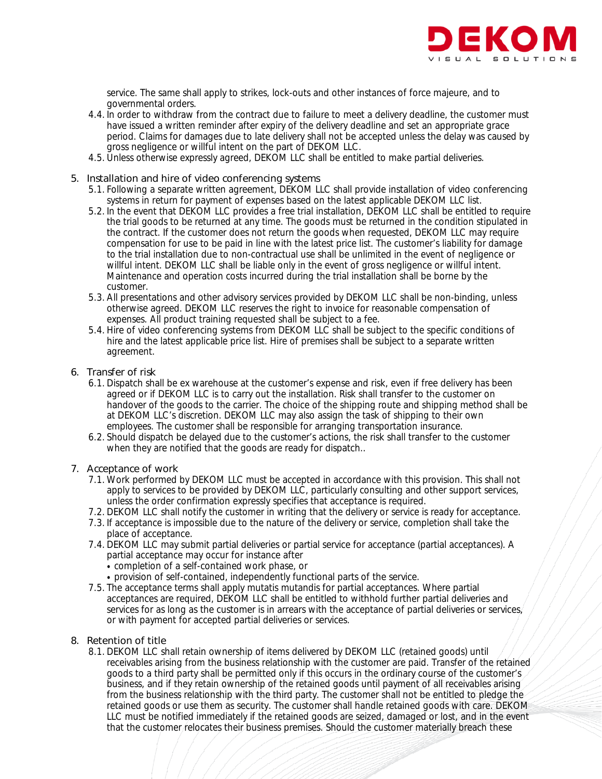

service. The same shall apply to strikes, lock-outs and other instances of force majeure, and to governmental orders.

- 4.4. In order to withdraw from the contract due to failure to meet a delivery deadline, the customer must have issued a written reminder after expiry of the delivery deadline and set an appropriate grace period. Claims for damages due to late delivery shall not be accepted unless the delay was caused by gross negligence or willful intent on the part of DEKOM LLC.
- 4.5. Unless otherwise expressly agreed, DEKOM LLC shall be entitled to make partial deliveries.

# 5. Installation and hire of video conferencing systems

- 5.1. Following a separate written agreement, DEKOM LLC shall provide installation of video conferencing systems in return for payment of expenses based on the latest applicable DEKOM LLC list.
- 5.2. In the event that DEKOM LLC provides a free trial installation, DEKOM LLC shall be entitled to require the trial goods to be returned at any time. The goods must be returned in the condition stipulated in the contract. If the customer does not return the goods when requested, DEKOM LLC may require compensation for use to be paid in line with the latest price list. The customer's liability for damage to the trial installation due to non-contractual use shall be unlimited in the event of negligence or willful intent. DEKOM LLC shall be liable only in the event of gross negligence or willful intent. Maintenance and operation costs incurred during the trial installation shall be borne by the customer.
- 5.3. All presentations and other advisory services provided by DEKOM LLC shall be non-binding, unless otherwise agreed. DEKOM LLC reserves the right to invoice for reasonable compensation of expenses. All product training requested shall be subject to a fee.
- 5.4. Hire of video conferencing systems from DEKOM LLC shall be subject to the specific conditions of hire and the latest applicable price list. Hire of premises shall be subject to a separate written agreement.

# 6. Transfer of risk

- 6.1. Dispatch shall be ex warehouse at the customer's expense and risk, even if free delivery has been agreed or if DEKOM LLC is to carry out the installation. Risk shall transfer to the customer on handover of the goods to the carrier. The choice of the shipping route and shipping method shall be at DEKOM LLC's discretion. DEKOM LLC may also assign the task of shipping to their own employees. The customer shall be responsible for arranging transportation insurance.
- 6.2. Should dispatch be delayed due to the customer's actions, the risk shall transfer to the customer when they are notified that the goods are ready for dispatch..

# 7. Acceptance of work

- 7.1. Work performed by DEKOM LLC must be accepted in accordance with this provision. This shall not apply to services to be provided by DEKOM LLC, particularly consulting and other support services, unless the order confirmation expressly specifies that acceptance is required.
- 7.2. DEKOM LLC shall notify the customer in writing that the delivery or service is ready for acceptance.
- 7.3. If acceptance is impossible due to the nature of the delivery or service, completion shall take the place of acceptance.
- 7.4. DEKOM LLC may submit partial deliveries or partial service for acceptance (partial acceptances). A partial acceptance may occur for instance after
	- completion of a self-contained work phase, or
	- provision of self-contained, independently functional parts of the service.
- 7.5. The acceptance terms shall apply mutatis mutandis for partial acceptances. Where partial acceptances are required, DEKOM LLC shall be entitled to withhold further partial deliveries and services for as long as the customer is in arrears with the acceptance of partial deliveries or services, or with payment for accepted partial deliveries or services.

# 8. Retention of title

8.1. DEKOM LLC shall retain ownership of items delivered by DEKOM LLC (retained goods) until receivables arising from the business relationship with the customer are paid. Transfer of the retained goods to a third party shall be permitted only if this occurs in the ordinary course of the customer's business, and if they retain ownership of the retained goods until payment of all receivables arising from the business relationship with the third party. The customer shall not be entitled to pledge the retained goods or use them as security. The customer shall handle retained goods with care. DEKOM LLC must be notified immediately if the retained goods are seized, damaged or lost, and in the event that the customer relocates their business premises. Should the customer materially breach these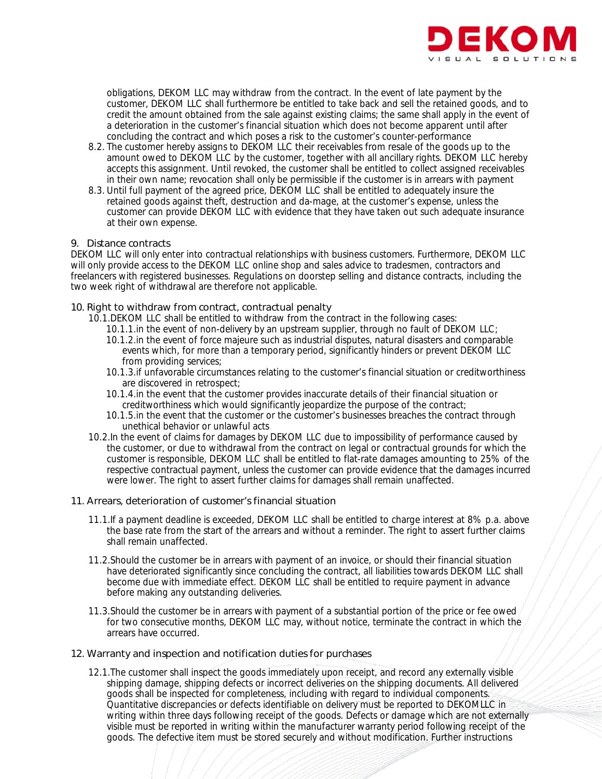

obligations, DEKOM LLC may withdraw from the contract. In the event of late payment by the customer, DEKOM LLC shall furthermore be entitled to take back and sell the retained goods, and to credit the amount obtained from the sale against existing claims; the same shall apply in the event of a deterioration in the customer's financial situation which does not become apparent until after concluding the contract and which poses a risk to the customer's counter-performance

- 8.2. The customer hereby assigns to DEKOM LLC their receivables from resale of the goods up to the amount owed to DEKOM LLC by the customer, together with all ancillary rights. DEKOM LLC hereby accepts this assignment. Until revoked, the customer shall be entitled to collect assigned receivables in their own name; revocation shall only be permissible if the customer is in arrears with payment
- 8.3. Until full payment of the agreed price, DEKOM LLC shall be entitled to adequately insure the retained goods against theft, destruction and da-mage, at the customer's expense, unless the customer can provide DEKOM LLC with evidence that they have taken out such adequate insurance at their own expense.

#### 9. Distance contracts

DEKOM LLC will only enter into contractual relationships with business customers. Furthermore, DEKOM LLC will only provide access to the DEKOM LLC online shop and sales advice to tradesmen, contractors and freelancers with registered businesses. Regulations on doorstep selling and distance contracts, including the two week right of withdrawal are therefore not applicable.

# 10. Right to withdraw from contract, contractual penalty

- 10.1.DEKOM LLC shall be entitled to withdraw from the contract in the following cases:
	- 10.1.1.in the event of non-delivery by an upstream supplier, through no fault of DEKOM LLC;
	- 10.1.2.in the event of force majeure such as industrial disputes, natural disasters and comparable events which, for more than a temporary period, significantly hinders or prevent DEKOM LLC from providing services;
	- 10.1.3.if unfavorable circumstances relating to the customer's financial situation or creditworthiness are discovered in retrospect;
	- 10.1.4.in the event that the customer provides inaccurate details of their financial situation or creditworthiness which would significantly jeopardize the purpose of the contract;
	- 10.1.5.in the event that the customer or the customer's businesses breaches the contract through unethical behavior or unlawful acts
- 10.2.In the event of claims for damages by DEKOM LLC due to impossibility of performance caused by the customer, or due to withdrawal from the contract on legal or contractual grounds for which the customer is responsible, DEKOM LLC shall be entitled to flat-rate damages amounting to 25% of the respective contractual payment, unless the customer can provide evidence that the damages incurred were lower. The right to assert further claims for damages shall remain unaffected.

# 11. Arrears, deterioration of customer's financial situation

- 11.1.If a payment deadline is exceeded, DEKOM LLC shall be entitled to charge interest at 8% p.a. above the base rate from the start of the arrears and without a reminder. The right to assert further claims shall remain unaffected.
- 11.2.Should the customer be in arrears with payment of an invoice, or should their financial situation have deteriorated significantly since concluding the contract, all liabilities towards DEKOM LLC shall become due with immediate effect. DEKOM LLC shall be entitled to require payment in advance before making any outstanding deliveries.
- 11.3. Should the customer be in arrears with payment of a substantial portion of the price or fee owed for two consecutive months, DEKOM LLC may, without notice, terminate the contract in which the arrears have occurred.

# 12. Warranty and inspection and notification duties for purchases

12.1.The customer shall inspect the goods immediately upon receipt, and record any externally visible shipping damage, shipping defects or incorrect deliveries on the shipping documents. All delivered goods shall be inspected for completeness, including with regard to individual components. Quantitative discrepancies or defects identifiable on delivery must be reported to DEKOMLLC in writing within three days following receipt of the goods. Defects or damage which are not externally visible must be reported in writing within the manufacturer warranty period following receipt of the goods. The defective item must be stored securely and without modification. Further instructions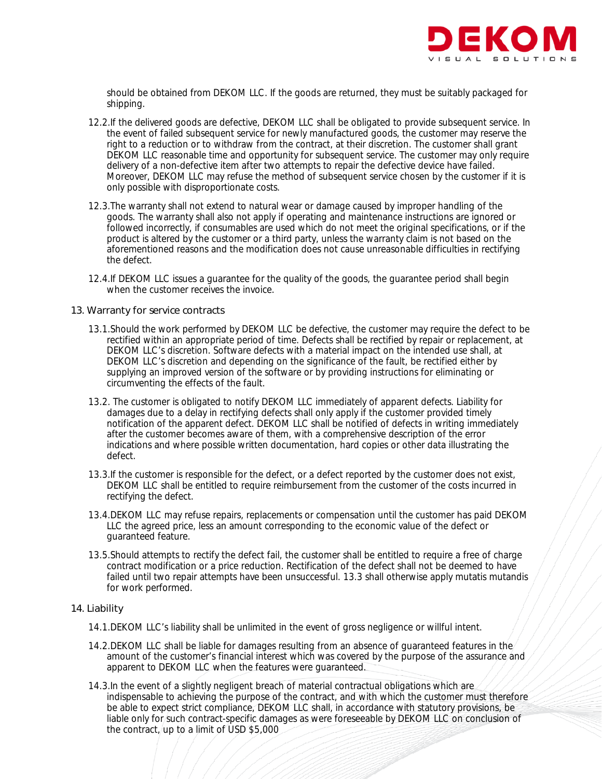

should be obtained from DEKOM LLC. If the goods are returned, they must be suitably packaged for shipping.

- 12.2.If the delivered goods are defective, DEKOM LLC shall be obligated to provide subsequent service. In the event of failed subsequent service for newly manufactured goods, the customer may reserve the right to a reduction or to withdraw from the contract, at their discretion. The customer shall grant DEKOM LLC reasonable time and opportunity for subsequent service. The customer may only require delivery of a non-defective item after two attempts to repair the defective device have failed. Moreover, DEKOM LLC may refuse the method of subsequent service chosen by the customer if it is only possible with disproportionate costs.
- 12.3.The warranty shall not extend to natural wear or damage caused by improper handling of the goods. The warranty shall also not apply if operating and maintenance instructions are ignored or followed incorrectly, if consumables are used which do not meet the original specifications, or if the product is altered by the customer or a third party, unless the warranty claim is not based on the aforementioned reasons and the modification does not cause unreasonable difficulties in rectifying the defect.
- 12.4.If DEKOM LLC issues a guarantee for the quality of the goods, the guarantee period shall begin when the customer receives the invoice.

#### 13. Warranty for service contracts

- 13.1.Should the work performed by DEKOM LLC be defective, the customer may require the defect to be rectified within an appropriate period of time. Defects shall be rectified by repair or replacement, at DEKOM LLC's discretion. Software defects with a material impact on the intended use shall, at DEKOM LLC's discretion and depending on the significance of the fault, be rectified either by supplying an improved version of the software or by providing instructions for eliminating or circumventing the effects of the fault.
- 13.2. The customer is obligated to notify DEKOM LLC immediately of apparent defects. Liability for damages due to a delay in rectifying defects shall only apply if the customer provided timely notification of the apparent defect. DEKOM LLC shall be notified of defects in writing immediately after the customer becomes aware of them, with a comprehensive description of the error indications and where possible written documentation, hard copies or other data illustrating the defect.
- 13.3.If the customer is responsible for the defect, or a defect reported by the customer does not exist, DEKOM LLC shall be entitled to require reimbursement from the customer of the costs incurred in rectifying the defect.
- 13.4.DEKOM LLC may refuse repairs, replacements or compensation until the customer has paid DEKOM LLC the agreed price, less an amount corresponding to the economic value of the defect or guaranteed feature.
- 13.5.Should attempts to rectify the defect fail, the customer shall be entitled to require a free of charge contract modification or a price reduction. Rectification of the defect shall not be deemed to have failed until two repair attempts have been unsuccessful. 13.3 shall otherwise apply mutatis mutandis for work performed.

# 14. Liability

- 14.1.DEKOM LLC's liability shall be unlimited in the event of gross negligence or willful intent.
- 14.2.DEKOM LLC shall be liable for damages resulting from an absence of guaranteed features in the amount of the customer's financial interest which was covered by the purpose of the assurance and apparent to DEKOM LLC when the features were guaranteed.
- 14.3.In the event of a slightly negligent breach of material contractual obligations which are indispensable to achieving the purpose of the contract, and with which the customer must therefore be able to expect strict compliance, DEKOM LLC shall, in accordance with statutory provisions, be liable only for such contract-specific damages as were foreseeable by DEKOM LLC on conclusion of the contract, up to a limit of USD \$5,000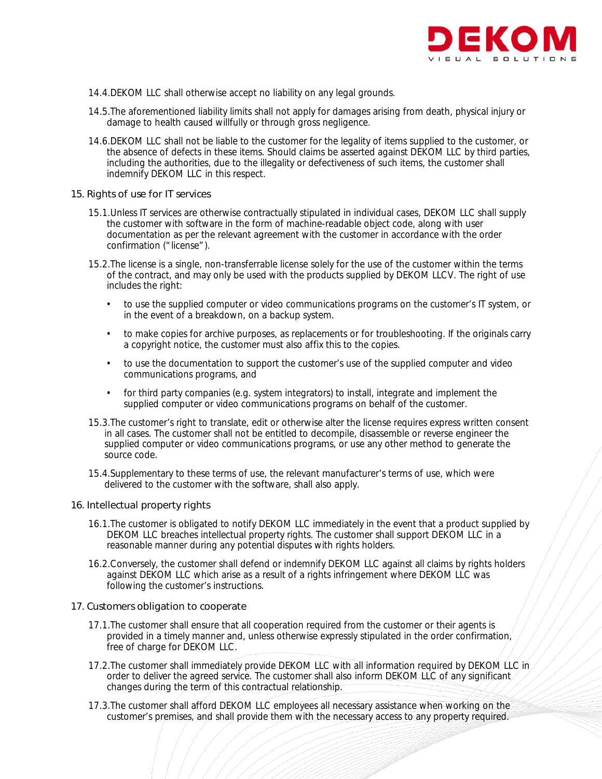

- 14.4.DEKOM LLC shall otherwise accept no liability on any legal grounds.
- 14.5.The aforementioned liability limits shall not apply for damages arising from death, physical injury or damage to health caused willfully or through gross negligence.
- 14.6.DEKOM LLC shall not be liable to the customer for the legality of items supplied to the customer, or the absence of defects in these items. Should claims be asserted against DEKOM LLC by third parties, including the authorities, due to the illegality or defectiveness of such items, the customer shall indemnify DEKOM LLC in this respect.

#### 15. Rights of use for IT services

- 15.1.Unless IT services are otherwise contractually stipulated in individual cases, DEKOM LLC shall supply the customer with software in the form of machine-readable object code, along with user documentation as per the relevant agreement with the customer in accordance with the order confirmation ("license").
- 15.2.The license is a single, non-transferrable license solely for the use of the customer within the terms of the contract, and may only be used with the products supplied by DEKOM LLCV. The right of use includes the right:
	- to use the supplied computer or video communications programs on the customer's IT system, or in the event of a breakdown, on a backup system.
	- to make copies for archive purposes, as replacements or for troubleshooting. If the originals carry a copyright notice, the customer must also affix this to the copies.
	- to use the documentation to support the customer's use of the supplied computer and video communications programs, and
	- for third party companies (e.g. system integrators) to install, integrate and implement the supplied computer or video communications programs on behalf of the customer.
- 15.3.The customer's right to translate, edit or otherwise alter the license requires express written consent in all cases. The customer shall not be entitled to decompile, disassemble or reverse engineer the supplied computer or video communications programs, or use any other method to generate the source code.
- 15.4.Supplementary to these terms of use, the relevant manufacturer's terms of use, which were delivered to the customer with the software, shall also apply.

#### 16. Intellectual property rights

- 16.1.The customer is obligated to notify DEKOM LLC immediately in the event that a product supplied by DEKOM LLC breaches intellectual property rights. The customer shall support DEKOM LLC in a reasonable manner during any potential disputes with rights holders.
- 16.2.Conversely, the customer shall defend or indemnify DEKOM LLC against all claims by rights holders against DEKOM LLC which arise as a result of a rights infringement where DEKOM LLC was following the customer's instructions.

#### 17. Customers obligation to cooperate

- 17.1.The customer shall ensure that all cooperation required from the customer or their agents is provided in a timely manner and, unless otherwise expressly stipulated in the order confirmation, free of charge for DEKOM LLC.
- 17.2. The customer shall immediately provide DEKOM LLC with all information required by DEKOM LLC in order to deliver the agreed service. The customer shall also inform DEKOM LLC of any significant changes during the term of this contractual relationship.
- 17.3.The customer shall afford DEKOM LLC employees all necessary assistance when working on the customer's premises, and shall provide them with the necessary access to any property required.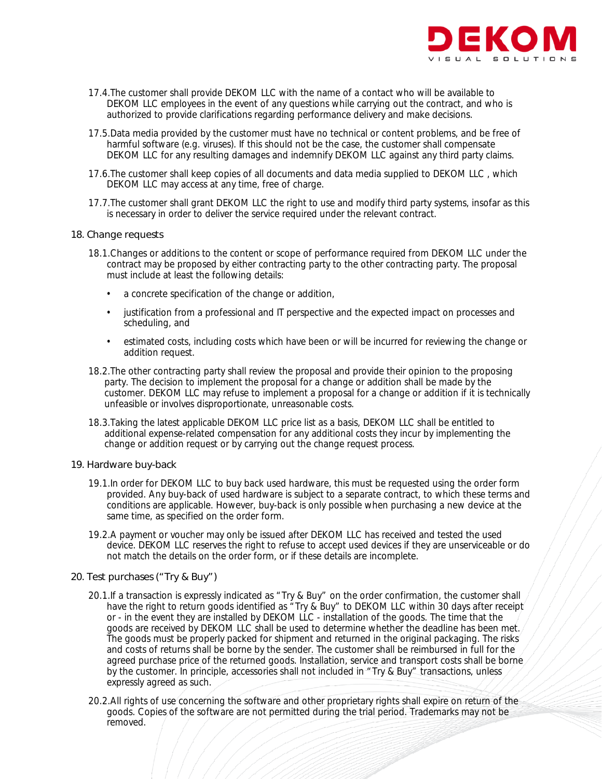

- 17.4.The customer shall provide DEKOM LLC with the name of a contact who will be available to DEKOM LLC employees in the event of any questions while carrying out the contract, and who is authorized to provide clarifications regarding performance delivery and make decisions.
- 17.5.Data media provided by the customer must have no technical or content problems, and be free of harmful software (e.g. viruses). If this should not be the case, the customer shall compensate DEKOM LLC for any resulting damages and indemnify DEKOM LLC against any third party claims.
- 17.6.The customer shall keep copies of all documents and data media supplied to DEKOM LLC , which DEKOM LLC may access at any time, free of charge.
- 17.7.The customer shall grant DEKOM LLC the right to use and modify third party systems, insofar as this is necessary in order to deliver the service required under the relevant contract.

#### 18. Change requests

- 18.1.Changes or additions to the content or scope of performance required from DEKOM LLC under the contract may be proposed by either contracting party to the other contracting party. The proposal must include at least the following details:
	- a concrete specification of the change or addition,
	- justification from a professional and IT perspective and the expected impact on processes and scheduling, and
	- estimated costs, including costs which have been or will be incurred for reviewing the change or addition request.
- 18.2.The other contracting party shall review the proposal and provide their opinion to the proposing party. The decision to implement the proposal for a change or addition shall be made by the customer. DEKOM LLC may refuse to implement a proposal for a change or addition if it is technically unfeasible or involves disproportionate, unreasonable costs.
- 18.3.Taking the latest applicable DEKOM LLC price list as a basis, DEKOM LLC shall be entitled to additional expense-related compensation for any additional costs they incur by implementing the change or addition request or by carrying out the change request process.

#### 19. Hardware buy-back

- 19.1.In order for DEKOM LLC to buy back used hardware, this must be requested using the order form provided. Any buy-back of used hardware is subject to a separate contract, to which these terms and conditions are applicable. However, buy-back is only possible when purchasing a new device at the same time, as specified on the order form.
- 19.2.A payment or voucher may only be issued after DEKOM LLC has received and tested the used device. DEKOM LLC reserves the right to refuse to accept used devices if they are unserviceable or do not match the details on the order form, or if these details are incomplete.

# 20. Test purchases ("Try & Buy")

- 20.1.If a transaction is expressly indicated as "Try & Buy" on the order confirmation, the customer shall have the right to return goods identified as "Try & Buy" to DEKOM LLC within 30 days after receipt or - in the event they are installed by DEKOM LLC - installation of the goods. The time that the goods are received by DEKOM LLC shall be used to determine whether the deadline has been met. The goods must be properly packed for shipment and returned in the original packaging. The risks and costs of returns shall be borne by the sender. The customer shall be reimbursed in full for the agreed purchase price of the returned goods. Installation, service and transport costs shall be borne by the customer. In principle, accessories shall not included in "Try & Buy" transactions, unless expressly agreed as such.
- 20.2.All rights of use concerning the software and other proprietary rights shall expire on return of the goods. Copies of the software are not permitted during the trial period. Trademarks may not be removed.